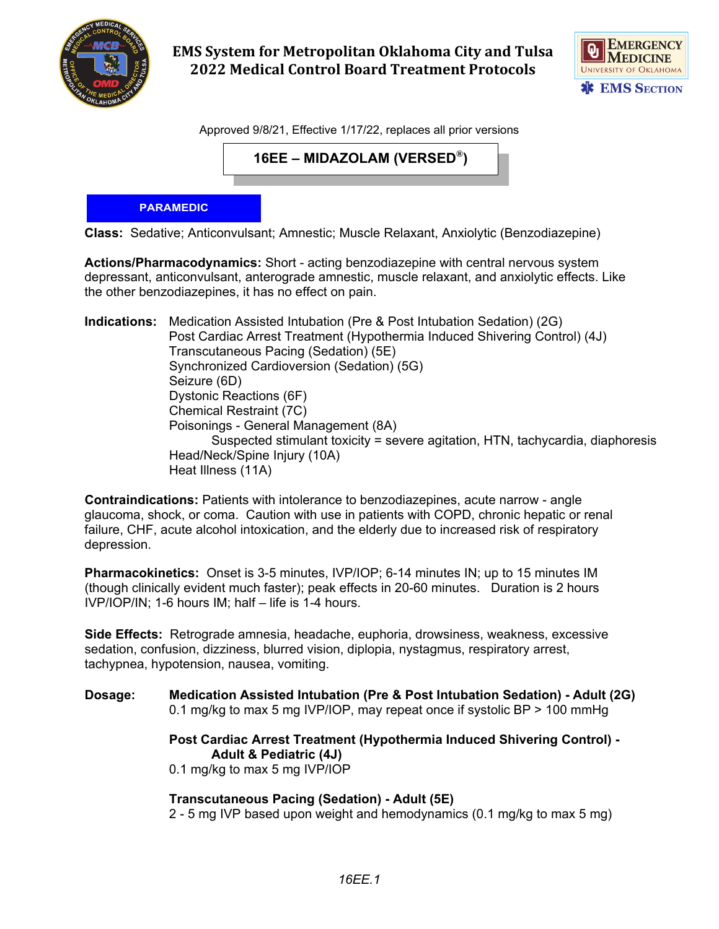

**EMS System for Metropolitan Oklahoma City and Tulsa 2022 Medical Control Board Treatment Protocols** 



Approved 9/8/21, Effective 1/17/22, replaces all prior versions

**16EE – MIDAZOLAM (VERSED®)**

## **PARAMEDIC**

**Class:** Sedative; Anticonvulsant; Amnestic; Muscle Relaxant, Anxiolytic (Benzodiazepine)

**Actions/Pharmacodynamics:** Short - acting benzodiazepine with central nervous system depressant, anticonvulsant, anterograde amnestic, muscle relaxant, and anxiolytic effects. Like the other benzodiazepines, it has no effect on pain.

**Indications:** Medication Assisted Intubation (Pre & Post Intubation Sedation) (2G) Post Cardiac Arrest Treatment (Hypothermia Induced Shivering Control) (4J) Transcutaneous Pacing (Sedation) (5E) Synchronized Cardioversion (Sedation) (5G) Seizure (6D) Dystonic Reactions (6F) Chemical Restraint (7C) Poisonings - General Management (8A) Suspected stimulant toxicity = severe agitation, HTN, tachycardia, diaphoresis Head/Neck/Spine Injury (10A) Heat Illness (11A)

**Contraindications:** Patients with intolerance to benzodiazepines, acute narrow - angle glaucoma, shock, or coma. Caution with use in patients with COPD, chronic hepatic or renal failure, CHF, acute alcohol intoxication, and the elderly due to increased risk of respiratory depression.

**Pharmacokinetics:** Onset is 3-5 minutes, IVP/IOP; 6-14 minutes IN; up to 15 minutes IM (though clinically evident much faster); peak effects in 20-60 minutes. Duration is 2 hours IVP/IOP/IN; 1-6 hours IM; half – life is 1-4 hours.

**Side Effects:** Retrograde amnesia, headache, euphoria, drowsiness, weakness, excessive sedation, confusion, dizziness, blurred vision, diplopia, nystagmus, respiratory arrest, tachypnea, hypotension, nausea, vomiting.

**Dosage: Medication Assisted Intubation (Pre & Post Intubation Sedation) - Adult (2G)** 0.1 mg/kg to max 5 mg IVP/IOP, may repeat once if systolic BP > 100 mmHg

> **Post Cardiac Arrest Treatment (Hypothermia Induced Shivering Control) - Adult & Pediatric (4J)**

0.1 mg/kg to max 5 mg IVP/IOP

**Transcutaneous Pacing (Sedation) - Adult (5E)**

2 - 5 mg IVP based upon weight and hemodynamics (0.1 mg/kg to max 5 mg)